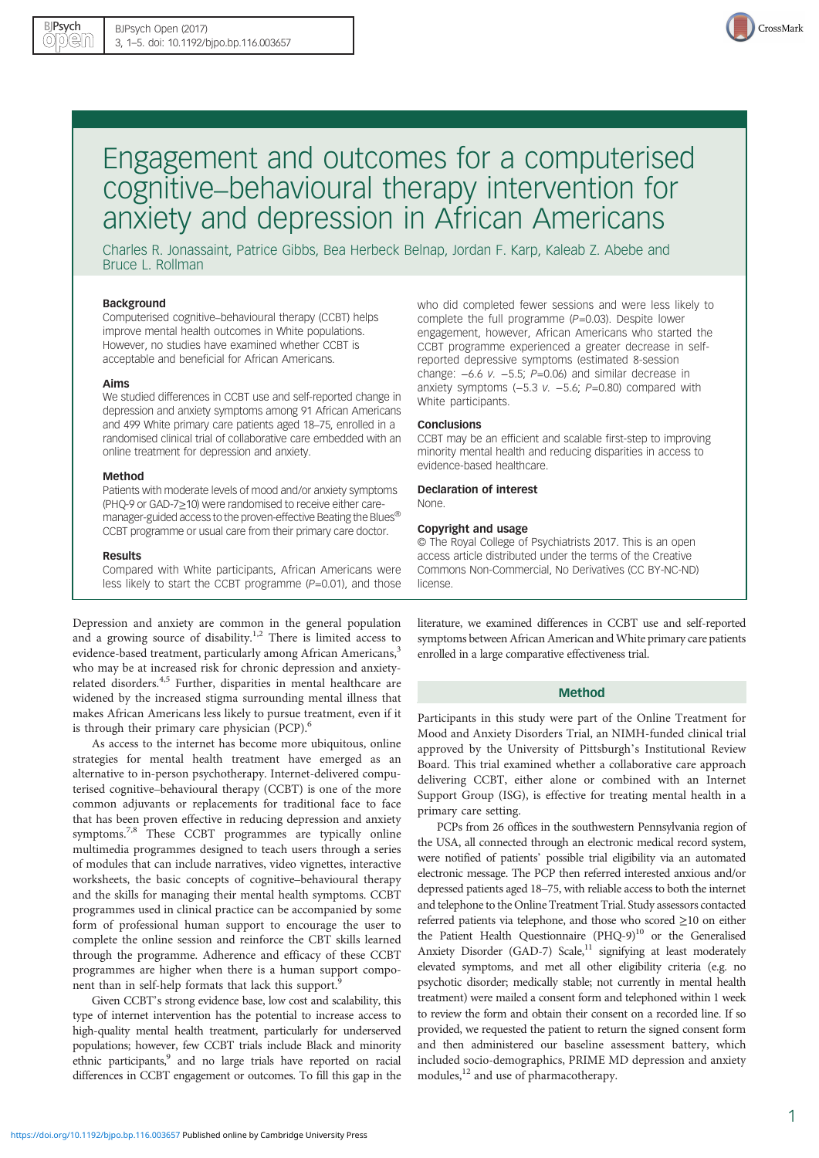

# Engagement and outcomes for a computerised cognitive–behavioural therapy intervention for anxiety and depression in African Americans

Charles R. Jonassaint, Patrice Gibbs, Bea Herbeck Belnap, Jordan F. Karp, Kaleab Z. Abebe and Bruce L. Rollman

#### Background

Computerised cognitive–behavioural therapy (CCBT) helps improve mental health outcomes in White populations. However, no studies have examined whether CCBT is acceptable and beneficial for African Americans.

#### Aims

We studied differences in CCBT use and self-reported change in depression and anxiety symptoms among 91 African Americans and 499 White primary care patients aged 18–75, enrolled in a randomised clinical trial of collaborative care embedded with an online treatment for depression and anxiety.

#### Method

Patients with moderate levels of mood and/or anxiety symptoms (PHQ-9 or GAD-7≥10) were randomised to receive either caremanager-guided access to the proven-effective Beating the Blues® CCBT programme or usual care from their primary care doctor.

#### Results

Compared with White participants, African Americans were less likely to start the CCBT programme  $(P=0.01)$ , and those

Depression and anxiety are common in the general population and a growing source of disability.<sup>[1,2](#page-4-0)</sup> There is limited access to evidence-based treatment, particularly among African Americans,<sup>[3](#page-4-0)</sup> who may be at increased risk for chronic depression and anxietyrelated disorders.[4,5](#page-4-0) Further, disparities in mental healthcare are widened by the increased stigma surrounding mental illness that makes African Americans less likely to pursue treatment, even if it is through their primary care physician (PCP).<sup>[6](#page-4-0)</sup>

As access to the internet has become more ubiquitous, online strategies for mental health treatment have emerged as an alternative to in-person psychotherapy. Internet-delivered computerised cognitive–behavioural therapy (CCBT) is one of the more common adjuvants or replacements for traditional face to face that has been proven effective in reducing depression and anxiety symptoms.<sup>[7](#page-4-0),[8](#page-4-0)</sup> These CCBT programmes are typically online multimedia programmes designed to teach users through a series of modules that can include narratives, video vignettes, interactive worksheets, the basic concepts of cognitive–behavioural therapy and the skills for managing their mental health symptoms. CCBT programmes used in clinical practice can be accompanied by some form of professional human support to encourage the user to complete the online session and reinforce the CBT skills learned through the programme. Adherence and efficacy of these CCBT programmes are higher when there is a human support component than in self-help formats that lack this support.<sup>9</sup>

Given CCBT's strong evidence base, low cost and scalability, this type of internet intervention has the potential to increase access to high-quality mental health treatment, particularly for underserved populations; however, few CCBT trials include Black and minority ethnic participants,<sup>9</sup> and no large trials have reported on racial differences in CCBT engagement or outcomes. To fill this gap in the who did completed fewer sessions and were less likely to complete the full programme  $(P=0.03)$ . Despite lower engagement, however, African Americans who started the CCBT programme experienced a greater decrease in selfreported depressive symptoms (estimated 8-session change: −6.6 v. −5.5; P=0.06) and similar decrease in anxiety symptoms (−5.3 v. −5.6; P=0.80) compared with White participants.

#### Conclusions

CCBT may be an efficient and scalable first-step to improving minority mental health and reducing disparities in access to evidence-based healthcare.

#### Declaration of interest None.

#### Copyright and usage

© The Royal College of Psychiatrists 2017. This is an open access article distributed under the terms of the Creative Commons Non-Commercial, No Derivatives (CC BY-NC-ND) license.

literature, we examined differences in CCBT use and self-reported symptoms between African American and White primary care patients enrolled in a large comparative effectiveness trial.

# Method

Participants in this study were part of the Online Treatment for Mood and Anxiety Disorders Trial, an NIMH-funded clinical trial approved by the University of Pittsburgh's Institutional Review Board. This trial examined whether a collaborative care approach delivering CCBT, either alone or combined with an Internet Support Group (ISG), is effective for treating mental health in a primary care setting.

PCPs from 26 offices in the southwestern Pennsylvania region of the USA, all connected through an electronic medical record system, were notified of patients' possible trial eligibility via an automated electronic message. The PCP then referred interested anxious and/or depressed patients aged 18–75, with reliable access to both the internet and telephone to the Online Treatment Trial. Study assessors contacted referred patients via telephone, and those who scored ≥10 on either the Patient Health Questionnaire (PHQ-9)<sup>10</sup> or the Generalised Anxiety Disorder (GAD-7) Scale,<sup>[11](#page-4-0)</sup> signifying at least moderately elevated symptoms, and met all other eligibility criteria (e.g. no psychotic disorder; medically stable; not currently in mental health treatment) were mailed a consent form and telephoned within 1 week to review the form and obtain their consent on a recorded line. If so provided, we requested the patient to return the signed consent form and then administered our baseline assessment battery, which included socio-demographics, PRIME MD depression and anxiety modules,<sup>12</sup> and use of pharmacotherapy.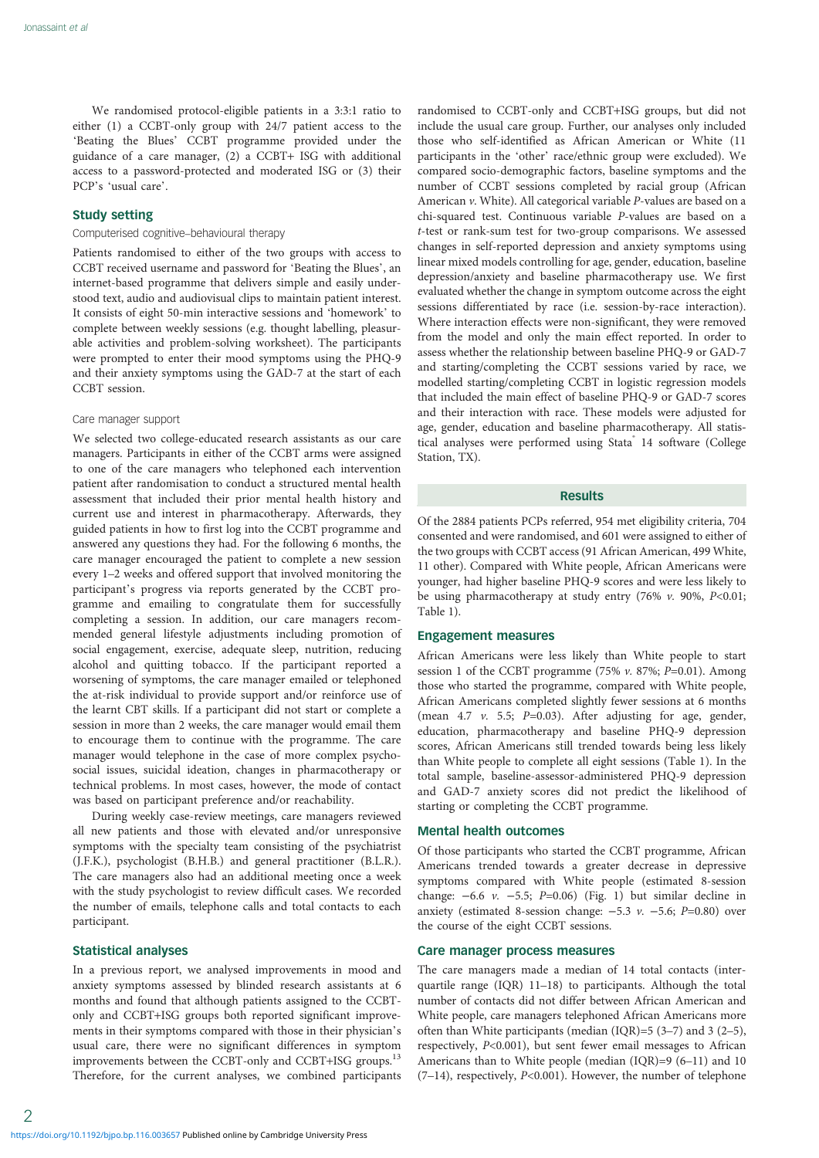We randomised protocol-eligible patients in a 3:3:1 ratio to either (1) a CCBT-only group with 24/7 patient access to the 'Beating the Blues' CCBT programme provided under the guidance of a care manager, (2) a CCBT+ ISG with additional access to a password-protected and moderated ISG or (3) their PCP's 'usual care'.

## Study setting

## Computerised cognitive–behavioural therapy

Patients randomised to either of the two groups with access to CCBT received username and password for 'Beating the Blues', an internet-based programme that delivers simple and easily understood text, audio and audiovisual clips to maintain patient interest. It consists of eight 50-min interactive sessions and 'homework' to complete between weekly sessions (e.g. thought labelling, pleasurable activities and problem-solving worksheet). The participants were prompted to enter their mood symptoms using the PHQ-9 and their anxiety symptoms using the GAD-7 at the start of each CCBT session.

#### Care manager support

We selected two college-educated research assistants as our care managers. Participants in either of the CCBT arms were assigned to one of the care managers who telephoned each intervention patient after randomisation to conduct a structured mental health assessment that included their prior mental health history and current use and interest in pharmacotherapy. Afterwards, they guided patients in how to first log into the CCBT programme and answered any questions they had. For the following 6 months, the care manager encouraged the patient to complete a new session every 1–2 weeks and offered support that involved monitoring the participant's progress via reports generated by the CCBT programme and emailing to congratulate them for successfully completing a session. In addition, our care managers recommended general lifestyle adjustments including promotion of social engagement, exercise, adequate sleep, nutrition, reducing alcohol and quitting tobacco. If the participant reported a worsening of symptoms, the care manager emailed or telephoned the at-risk individual to provide support and/or reinforce use of the learnt CBT skills. If a participant did not start or complete a session in more than 2 weeks, the care manager would email them to encourage them to continue with the programme. The care manager would telephone in the case of more complex psychosocial issues, suicidal ideation, changes in pharmacotherapy or technical problems. In most cases, however, the mode of contact was based on participant preference and/or reachability.

During weekly case-review meetings, care managers reviewed all new patients and those with elevated and/or unresponsive symptoms with the specialty team consisting of the psychiatrist (J.F.K.), psychologist (B.H.B.) and general practitioner (B.L.R.). The care managers also had an additional meeting once a week with the study psychologist to review difficult cases. We recorded the number of emails, telephone calls and total contacts to each participant.

## Statistical analyses

In a previous report, we analysed improvements in mood and anxiety symptoms assessed by blinded research assistants at 6 months and found that although patients assigned to the CCBTonly and CCBT+ISG groups both reported significant improvements in their symptoms compared with those in their physician's usual care, there were no significant differences in symptom improvements between the CCBT-only and CCBT+ISG groups.<sup>[13](#page-4-0)</sup> Therefore, for the current analyses, we combined participants

randomised to CCBT-only and CCBT+ISG groups, but did not include the usual care group. Further, our analyses only included those who self-identified as African American or White (11 participants in the 'other' race/ethnic group were excluded). We compared socio-demographic factors, baseline symptoms and the number of CCBT sessions completed by racial group (African American v. White). All categorical variable P-values are based on a chi-squared test. Continuous variable P-values are based on a t-test or rank-sum test for two-group comparisons. We assessed changes in self-reported depression and anxiety symptoms using linear mixed models controlling for age, gender, education, baseline depression/anxiety and baseline pharmacotherapy use. We first evaluated whether the change in symptom outcome across the eight sessions differentiated by race (i.e. session-by-race interaction). Where interaction effects were non-significant, they were removed from the model and only the main effect reported. In order to assess whether the relationship between baseline PHQ-9 or GAD-7 and starting/completing the CCBT sessions varied by race, we modelled starting/completing CCBT in logistic regression models that included the main effect of baseline PHQ-9 or GAD-7 scores and their interaction with race. These models were adjusted for age, gender, education and baseline pharmacotherapy. All statistical analyses were performed using Stata<sup>®</sup> 14 software (College Station, TX).

## Results

Of the 2884 patients PCPs referred, 954 met eligibility criteria, 704 consented and were randomised, and 601 were assigned to either of the two groups with CCBT access (91 African American, 499 White, 11 other). Compared with White people, African Americans were younger, had higher baseline PHQ-9 scores and were less likely to be using pharmacotherapy at study entry  $(76\% \text{ } v. 90\%, P<0.01;$ [Table 1](#page-2-0)).

#### Engagement measures

African Americans were less likely than White people to start session 1 of the CCBT programme (75%  $v$ . 87%; P=0.01). Among those who started the programme, compared with White people, African Americans completed slightly fewer sessions at 6 months (mean 4.7  $v$ . 5.5;  $P=0.03$ ). After adjusting for age, gender, education, pharmacotherapy and baseline PHQ-9 depression scores, African Americans still trended towards being less likely than White people to complete all eight sessions ([Table 1\)](#page-2-0). In the total sample, baseline-assessor-administered PHQ-9 depression and GAD-7 anxiety scores did not predict the likelihood of starting or completing the CCBT programme.

## Mental health outcomes

Of those participants who started the CCBT programme, African Americans trended towards a greater decrease in depressive symptoms compared with White people (estimated 8-session change:  $-6.6$  v.  $-5.5$ ; P=0.06) ([Fig. 1](#page-2-0)) but similar decline in anxiety (estimated 8-session change:  $-5.3$  v.  $-5.6$ ; P=0.80) over the course of the eight CCBT sessions.

## Care manager process measures

The care managers made a median of 14 total contacts (interquartile range (IQR) 11–18) to participants. Although the total number of contacts did not differ between African American and White people, care managers telephoned African Americans more often than White participants (median (IQR)=5 (3–7) and 3 (2–5), respectively, P<0.001), but sent fewer email messages to African Americans than to White people (median (IQR)=9 (6–11) and 10 (7–14), respectively, P<0.001). However, the number of telephone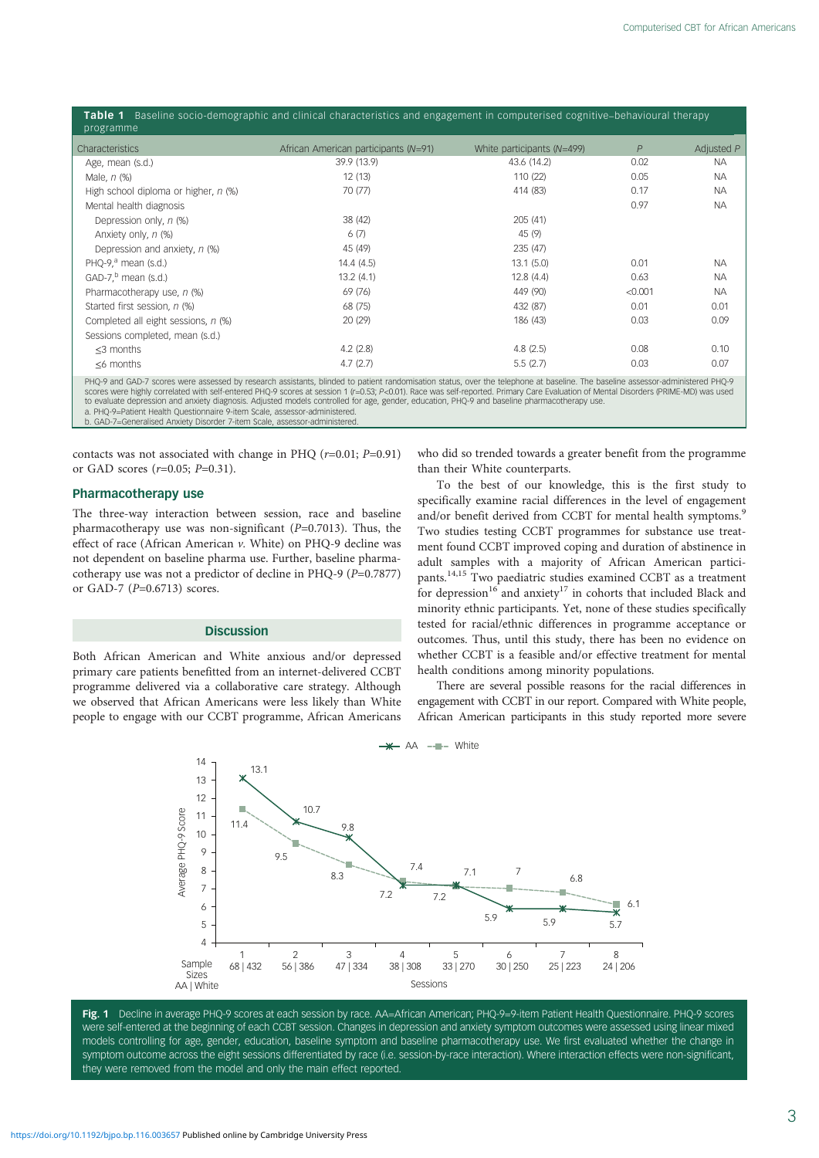<span id="page-2-0"></span>

| <b>Characteristics</b>               | African American participants (N=91) | White participants (N=499) | P       | Adjusted P |
|--------------------------------------|--------------------------------------|----------------------------|---------|------------|
| Age, mean (s.d.)                     | 39.9 (13.9)                          | 43.6 (14.2)                | 0.02    | <b>NA</b>  |
| Male, $n$ $%$                        | 12(13)                               | 110(22)                    | 0.05    | <b>NA</b>  |
| High school diploma or higher, n (%) | 70 (77)                              | 414 (83)                   | 0.17    | <b>NA</b>  |
| Mental health diagnosis              |                                      |                            | 0.97    | <b>NA</b>  |
| Depression only, n (%)               | 38 (42)                              | 205 (41)                   |         |            |
| Anxiety only, n (%)                  | 6(7)                                 | 45 (9)                     |         |            |
| Depression and anxiety, n (%)        | 45 (49)                              | 235 (47)                   |         |            |
| PHQ-9, $^a$ mean (s.d.)              | 14.4(4.5)                            | 13.1(5.0)                  | 0.01    | <b>NA</b>  |
| GAD-7, $^{\rm b}$ mean (s.d.)        | 13.2(4.1)                            | 12.8(4.4)                  | 0.63    | <b>NA</b>  |
| Pharmacotherapy use, n (%)           | 69 (76)                              | 449 (90)                   | < 0.001 | <b>NA</b>  |
| Started first session, n (%)         | 68 (75)                              | 432 (87)                   | 0.01    | 0.01       |
| Completed all eight sessions, n (%)  | 20(29)                               | 186 (43)                   | 0.03    | 0.09       |
| Sessions completed, mean (s.d.)      |                                      |                            |         |            |
| $\leq$ 3 months                      | 4.2(2.8)                             | 4.8(2.5)                   | 0.08    | 0.10       |
| $\leq$ months                        | 4.7(2.7)                             | 5.5(2.7)                   | 0.03    | 0.07       |

PHQ-9 and GAD-7 scores were assessed by research assistants, blinded to patient randomisation status, over the telephone at baseline. The baseline as scores were highly correlated with self-entered PHQ-9 scores at session 1 (r=0.53; P<0.01). Race was self-reported. Primary Care Evaluation of Mental Disorders (PRIME-MD) was used<br>to evaluate depression and anxiety diagnos to evaluate depression and anxiety diagnosis. Adjusted models controlled for age, gender, education, PHQ-9 and baseline pharmacotherapy use. a. PHQ-9=Patient Health Questionnaire 9-item Scale, assessor-administered. b. GAD-7=Generalised Anxiety Disorder 7-item Scale, assessor-administered.

contacts was not associated with change in PHQ  $(r=0.01; P=0.91)$ or GAD scores  $(r=0.05; P=0.31)$ .

## Pharmacotherapy use

The three-way interaction between session, race and baseline pharmacotherapy use was non-significant ( $P=0.7013$ ). Thus, the effect of race (African American v. White) on PHQ-9 decline was not dependent on baseline pharma use. Further, baseline pharmacotherapy use was not a predictor of decline in PHQ-9 (P=0.7877) or GAD-7 (P=0.6713) scores.

## **Discussion**

Both African American and White anxious and/or depressed primary care patients benefitted from an internet-delivered CCBT programme delivered via a collaborative care strategy. Although we observed that African Americans were less likely than White people to engage with our CCBT programme, African Americans

who did so trended towards a greater benefit from the programme than their White counterparts.

To the best of our knowledge, this is the first study to specifically examine racial differences in the level of engagement and/or benefit derived from CCBT for mental health symptoms.<sup>[9](#page-4-0)</sup> Two studies testing CCBT programmes for substance use treatment found CCBT improved coping and duration of abstinence in adult samples with a majority of African American participants.[14](#page-4-0),[15](#page-4-0) Two paediatric studies examined CCBT as a treatment for depression<sup>[16](#page-4-0)</sup> and anxiety<sup>[17](#page-4-0)</sup> in cohorts that included Black and minority ethnic participants. Yet, none of these studies specifically tested for racial/ethnic differences in programme acceptance or outcomes. Thus, until this study, there has been no evidence on whether CCBT is a feasible and/or effective treatment for mental health conditions among minority populations.

There are several possible reasons for the racial differences in engagement with CCBT in our report. Compared with White people, African American participants in this study reported more severe



Fig. 1 Decline in average PHQ-9 scores at each session by race. AA=African American; PHQ-9=9-item Patient Health Questionnaire. PHQ-9 scores were self-entered at the beginning of each CCBT session. Changes in depression and anxiety symptom outcomes were assessed using linear mixed models controlling for age, gender, education, baseline symptom and baseline pharmacotherapy use. We first evaluated whether the change in symptom outcome across the eight sessions differentiated by race (i.e. session-by-race interaction). Where interaction effects were non-significant, they were removed from the model and only the main effect reported.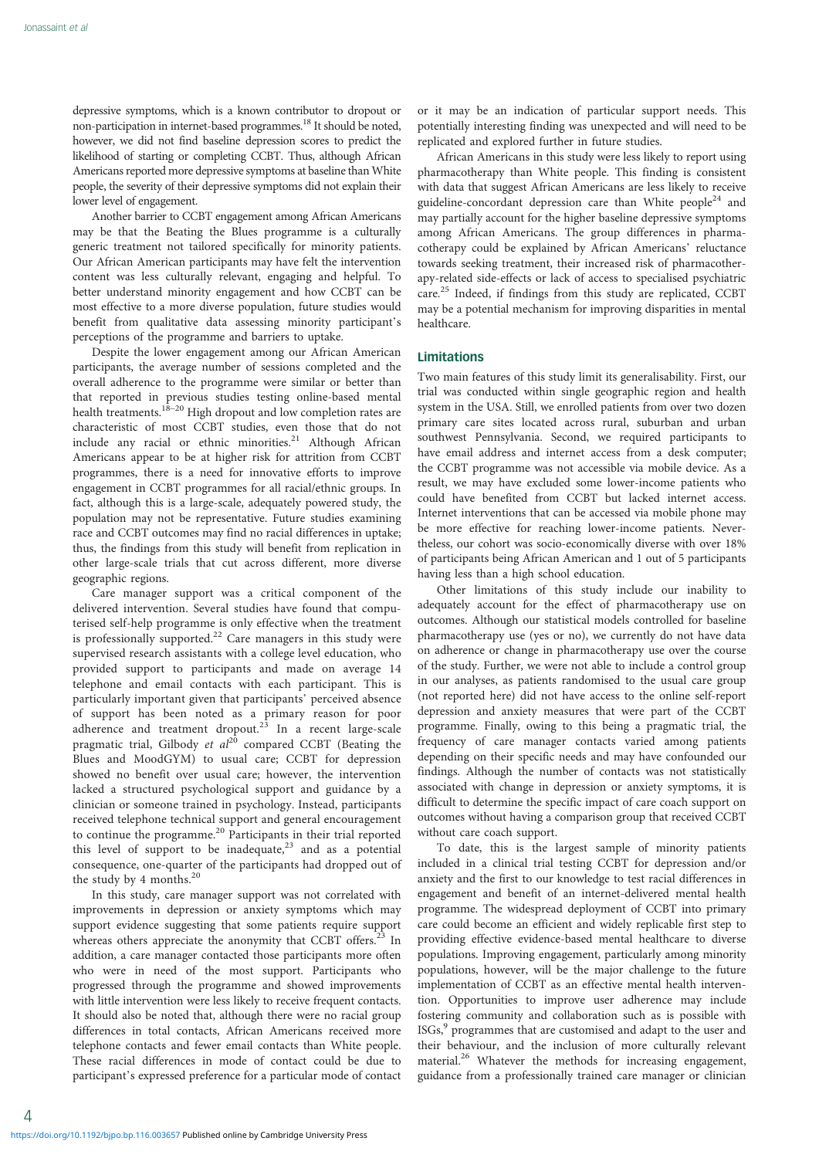depressive symptoms, which is a known contributor to dropout or non-participation in internet-based programmes.<sup>18</sup> It should be noted, however, we did not find baseline depression scores to predict the likelihood of starting or completing CCBT. Thus, although African Americans reported more depressive symptoms at baseline than White people, the severity of their depressive symptoms did not explain their lower level of engagement.

Another barrier to CCBT engagement among African Americans may be that the Beating the Blues programme is a culturally generic treatment not tailored specifically for minority patients. Our African American participants may have felt the intervention content was less culturally relevant, engaging and helpful. To better understand minority engagement and how CCBT can be most effective to a more diverse population, future studies would benefit from qualitative data assessing minority participant's perceptions of the programme and barriers to uptake.

Despite the lower engagement among our African American participants, the average number of sessions completed and the overall adherence to the programme were similar or better than that reported in previous studies testing online-based mental health treatments.<sup>[18](#page-4-0)–[20](#page-4-0)</sup> High dropout and low completion rates are characteristic of most CCBT studies, even those that do not include any racial or ethnic minorities.<sup>[21](#page-4-0)</sup> Although African Americans appear to be at higher risk for attrition from CCBT programmes, there is a need for innovative efforts to improve engagement in CCBT programmes for all racial/ethnic groups. In fact, although this is a large-scale, adequately powered study, the population may not be representative. Future studies examining race and CCBT outcomes may find no racial differences in uptake; thus, the findings from this study will benefit from replication in other large-scale trials that cut across different, more diverse geographic regions.

Care manager support was a critical component of the delivered intervention. Several studies have found that computerised self-help programme is only effective when the treatment is professionally supported.<sup>[22](#page-4-0)</sup> Care managers in this study were supervised research assistants with a college level education, who provided support to participants and made on average 14 telephone and email contacts with each participant. This is particularly important given that participants' perceived absence of support has been noted as a primary reason for poor adherence and treatment dropout.<sup>[23](#page-4-0)</sup> In a recent large-scale pragmatic trial, Gilbody et  $al^{20}$  $al^{20}$  $al^{20}$  compared CCBT (Beating the Blues and MoodGYM) to usual care; CCBT for depression showed no benefit over usual care; however, the intervention lacked a structured psychological support and guidance by a clinician or someone trained in psychology. Instead, participants received telephone technical support and general encouragement to continue the programme.<sup>[20](#page-4-0)</sup> Participants in their trial reported this level of support to be inadequate, $23$  and as a potential consequence, one-quarter of the participants had dropped out of the study by 4 months.<sup>[20](#page-4-0)</sup>

In this study, care manager support was not correlated with improvements in depression or anxiety symptoms which may support evidence suggesting that some patients require support whereas others appreciate the anonymity that CCBT offers.<sup>[23](#page-4-0)</sup> In addition, a care manager contacted those participants more often who were in need of the most support. Participants who progressed through the programme and showed improvements with little intervention were less likely to receive frequent contacts. It should also be noted that, although there were no racial group differences in total contacts, African Americans received more telephone contacts and fewer email contacts than White people. These racial differences in mode of contact could be due to participant's expressed preference for a particular mode of contact or it may be an indication of particular support needs. This potentially interesting finding was unexpected and will need to be replicated and explored further in future studies.

African Americans in this study were less likely to report using pharmacotherapy than White people. This finding is consistent with data that suggest African Americans are less likely to receive guideline-concordant depression care than White people<sup>[24](#page-4-0)</sup> and may partially account for the higher baseline depressive symptoms among African Americans. The group differences in pharmacotherapy could be explained by African Americans' reluctance towards seeking treatment, their increased risk of pharmacotherapy-related side-effects or lack of access to specialised psychiatric care.[25](#page-4-0) Indeed, if findings from this study are replicated, CCBT may be a potential mechanism for improving disparities in mental healthcare.

# Limitations

Two main features of this study limit its generalisability. First, our trial was conducted within single geographic region and health system in the USA. Still, we enrolled patients from over two dozen primary care sites located across rural, suburban and urban southwest Pennsylvania. Second, we required participants to have email address and internet access from a desk computer; the CCBT programme was not accessible via mobile device. As a result, we may have excluded some lower-income patients who could have benefited from CCBT but lacked internet access. Internet interventions that can be accessed via mobile phone may be more effective for reaching lower-income patients. Nevertheless, our cohort was socio-economically diverse with over 18% of participants being African American and 1 out of 5 participants having less than a high school education.

Other limitations of this study include our inability to adequately account for the effect of pharmacotherapy use on outcomes. Although our statistical models controlled for baseline pharmacotherapy use (yes or no), we currently do not have data on adherence or change in pharmacotherapy use over the course of the study. Further, we were not able to include a control group in our analyses, as patients randomised to the usual care group (not reported here) did not have access to the online self-report depression and anxiety measures that were part of the CCBT programme. Finally, owing to this being a pragmatic trial, the frequency of care manager contacts varied among patients depending on their specific needs and may have confounded our findings. Although the number of contacts was not statistically associated with change in depression or anxiety symptoms, it is difficult to determine the specific impact of care coach support on outcomes without having a comparison group that received CCBT without care coach support.

To date, this is the largest sample of minority patients included in a clinical trial testing CCBT for depression and/or anxiety and the first to our knowledge to test racial differences in engagement and benefit of an internet-delivered mental health programme. The widespread deployment of CCBT into primary care could become an efficient and widely replicable first step to providing effective evidence-based mental healthcare to diverse populations. Improving engagement, particularly among minority populations, however, will be the major challenge to the future implementation of CCBT as an effective mental health intervention. Opportunities to improve user adherence may include fostering community and collaboration such as is possible with ISGs,<sup>[9](#page-4-0)</sup> programmes that are customised and adapt to the user and their behaviour, and the inclusion of more culturally relevant material.<sup>[26](#page-4-0)</sup> Whatever the methods for increasing engagement, guidance from a professionally trained care manager or clinician